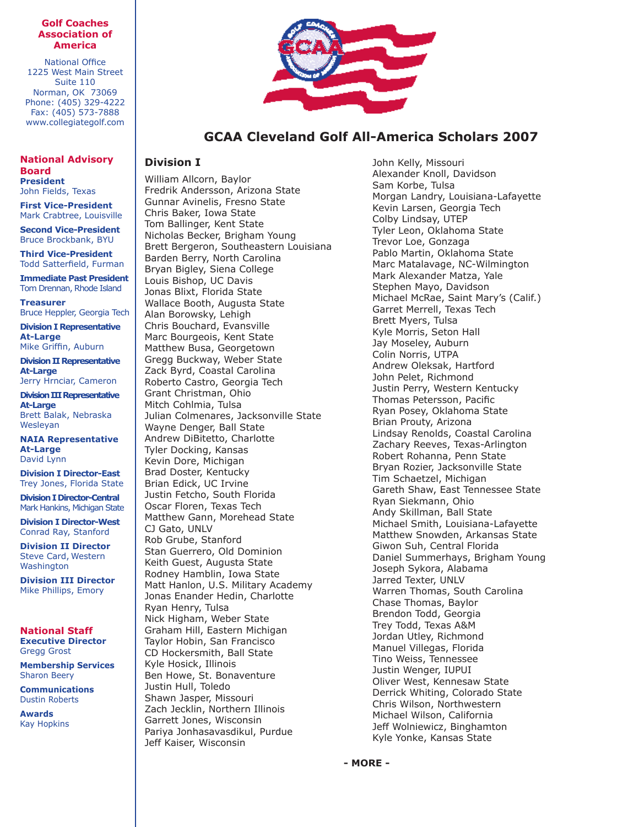#### **Golf Coaches Association of America**

National Office 1225 West Main Street Suite 110 Norman, OK 73069 Phone: (405) 329-4222 Fax: (405) 573-7888 www.collegiategolf.com

**National Advisory Board President** John Fields, Texas

**First Vice-President** Mark Crabtree, Louisville

**Second Vice-President** Bruce Brockbank, BYU

**Third Vice-President** Todd Satterfield, Furman

**Immediate Past President** Tom Drennan, Rhode Island

**Treasurer** Bruce Heppler, Georgia Tech

**Division I Representative At-Large** Mike Griffin, Auburn

**Division II Representative At-Large** Jerry Hrnciar, Cameron

**Division III Representative At-Large** Brett Balak, Nebraska Wesleyan

**NAIA Representative At-Large** David Lynn

**Division I Director-East** Trey Jones, Florida State

**Division I Director-Central** Mark Hankins, Michigan State

**Division I Director-West** Conrad Ray, Stanford

**Division II Director** Steve Card, Western **Washington** 

**Division III Director** Mike Phillips, Emory

## **National Staff**

**Executive Director** Gregg Grost

**Membership Services** Sharon Beery

**Communications** Dustin Roberts

**Awards** Kay Hopkins



# **GCAA Cleveland Golf All-America Scholars 2007**

### **Division I**

William Allcorn, Baylor Fredrik Andersson, Arizona State Gunnar Avinelis, Fresno State Chris Baker, Iowa State Tom Ballinger, Kent State Nicholas Becker, Brigham Young Brett Bergeron, Southeastern Louisiana Barden Berry, North Carolina Bryan Bigley, Siena College Louis Bishop, UC Davis Jonas Blixt, Florida State Wallace Booth, Augusta State Alan Borowsky, Lehigh Chris Bouchard, Evansville Marc Bourgeois, Kent State Matthew Busa, Georgetown Gregg Buckway, Weber State Zack Byrd, Coastal Carolina Roberto Castro, Georgia Tech Grant Christman, Ohio Mitch Cohlmia, Tulsa Julian Colmenares, Jacksonville State Wayne Denger, Ball State Andrew DiBitetto, Charlotte Tyler Docking, Kansas Kevin Dore, Michigan Brad Doster, Kentucky Brian Edick, UC Irvine Justin Fetcho, South Florida Oscar Floren, Texas Tech Matthew Gann, Morehead State CJ Gato, UNLV Rob Grube, Stanford Stan Guerrero, Old Dominion Keith Guest, Augusta State Rodney Hamblin, Iowa State Matt Hanlon, U.S. Military Academy Jonas Enander Hedin, Charlotte Ryan Henry, Tulsa Nick Higham, Weber State Graham Hill, Eastern Michigan Taylor Hobin, San Francisco CD Hockersmith, Ball State Kyle Hosick, Illinois Ben Howe, St. Bonaventure Justin Hull, Toledo Shawn Jasper, Missouri Zach Jecklin, Northern Illinois Garrett Jones, Wisconsin Pariya Jonhasavasdikul, Purdue Jeff Kaiser, Wisconsin

John Kelly, Missouri Alexander Knoll, Davidson Sam Korbe, Tulsa Morgan Landry, Louisiana-Lafayette Kevin Larsen, Georgia Tech Colby Lindsay, UTEP Tyler Leon, Oklahoma State Trevor Loe, Gonzaga Pablo Martin, Oklahoma State Marc Matalavage, NC-Wilmington Mark Alexander Matza, Yale Stephen Mayo, Davidson Michael McRae, Saint Mary's (Calif.) Garret Merrell, Texas Tech Brett Myers, Tulsa Kyle Morris, Seton Hall Jay Moseley, Auburn Colin Norris, UTPA Andrew Oleksak, Hartford John Pelet, Richmond Justin Perry, Western Kentucky Thomas Petersson, Pacific Ryan Posey, Oklahoma State Brian Prouty, Arizona Lindsay Renolds, Coastal Carolina Zachary Reeves, Texas-Arlington Robert Rohanna, Penn State Bryan Rozier, Jacksonville State Tim Schaetzel, Michigan Gareth Shaw, East Tennessee State Ryan Siekmann, Ohio Andy Skillman, Ball State Michael Smith, Louisiana-Lafayette Matthew Snowden, Arkansas State Giwon Suh, Central Florida Daniel Summerhays, Brigham Young Joseph Sykora, Alabama Jarred Texter, UNLV Warren Thomas, South Carolina Chase Thomas, Baylor Brendon Todd, Georgia Trey Todd, Texas A&M Jordan Utley, Richmond Manuel Villegas, Florida Tino Weiss, Tennessee Justin Wenger, IUPUI Oliver West, Kennesaw State Derrick Whiting, Colorado State Chris Wilson, Northwestern Michael Wilson, California Jeff Wolniewicz, Binghamton Kyle Yonke, Kansas State

**- MORE -**